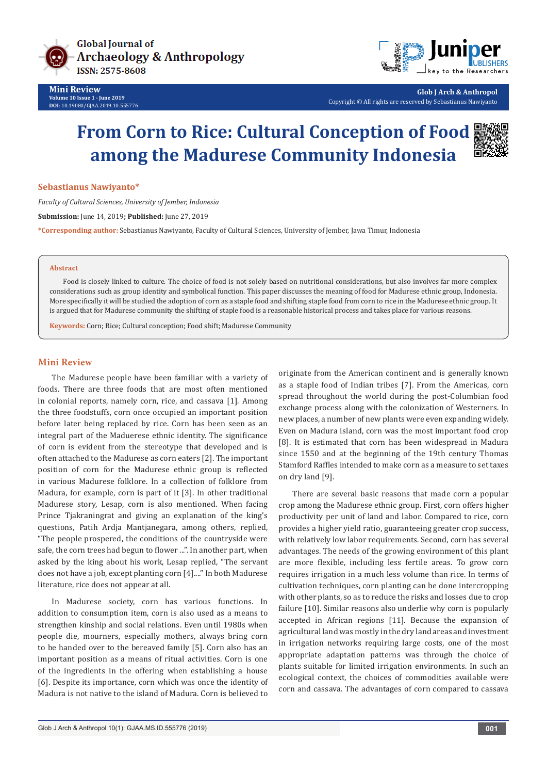



**Glob J Arch & Anthropol** Copyright © All rights are reserved by Sebastianus Nawiyanto

# **From Corn to Rice: Cultural Conception of Food among the Madurese Community Indonesia**



## **Sebastianus Nawiyanto\***

*Faculty of Cultural Sciences, University of Jember, Indonesia* **Submission:** June 14, 2019**; Published:** June 27, 2019 **\*Corresponding author:** Sebastianus Nawiyanto, Faculty of Cultural Sciences, University of Jember, Jawa Timur, Indonesia

#### **Abstract**

Food is closely linked to culture. The choice of food is not solely based on nutritional considerations, but also involves far more complex considerations such as group identity and symbolical function. This paper discusses the meaning of food for Madurese ethnic group, Indonesia. More specifically it will be studied the adoption of corn as a staple food and shifting staple food from corn to rice in the Madurese ethnic group. It is argued that for Madurese community the shifting of staple food is a reasonable historical process and takes place for various reasons.

**Keywords:** Corn; Rice; Cultural conception; Food shift; Madurese Community

# **Mini Review**

The Madurese people have been familiar with a variety of foods. There are three foods that are most often mentioned in colonial reports, namely corn, rice, and cassava [1]. Among the three foodstuffs, corn once occupied an important position before later being replaced by rice. Corn has been seen as an integral part of the Maduerese ethnic identity. The significance of corn is evident from the stereotype that developed and is often attached to the Madurese as corn eaters [2]. The important position of corn for the Madurese ethnic group is reflected in various Madurese folklore. In a collection of folklore from Madura, for example, corn is part of it [3]. In other traditional Madurese story, Lesap, corn is also mentioned. When facing Prince Tjakraningrat and giving an explanation of the king's questions, Patih Ardja Mantjanegara, among others, replied, "The people prospered, the conditions of the countryside were safe, the corn trees had begun to flower ...". In another part, when asked by the king about his work, Lesap replied, "The servant does not have a job, except planting corn [4]...." In both Madurese literature, rice does not appear at all.

In Madurese society, corn has various functions. In addition to consumption item, corn is also used as a means to strengthen kinship and social relations. Even until 1980s when people die, mourners, especially mothers, always bring corn to be handed over to the bereaved family [5]. Corn also has an important position as a means of ritual activities. Corn is one of the ingredients in the offering when establishing a house [6]. Despite its importance, corn which was once the identity of Madura is not native to the island of Madura. Corn is believed to

originate from the American continent and is generally known as a staple food of Indian tribes [7]. From the Americas, corn spread throughout the world during the post-Columbian food exchange process along with the colonization of Westerners. In new places, a number of new plants were even expanding widely. Even on Madura island, corn was the most important food crop [8]. It is estimated that corn has been widespread in Madura since 1550 and at the beginning of the 19th century Thomas Stamford Raffles intended to make corn as a measure to set taxes on dry land [9].

There are several basic reasons that made corn a popular crop among the Madurese ethnic group. First, corn offers higher productivity per unit of land and labor. Compared to rice, corn provides a higher yield ratio, guaranteeing greater crop success, with relatively low labor requirements. Second, corn has several advantages. The needs of the growing environment of this plant are more flexible, including less fertile areas. To grow corn requires irrigation in a much less volume than rice. In terms of cultivation techniques, corn planting can be done intercropping with other plants, so as to reduce the risks and losses due to crop failure [10]. Similar reasons also underlie why corn is popularly accepted in African regions [11]. Because the expansion of agricultural land was mostly in the dry land areas and investment in irrigation networks requiring large costs, one of the most appropriate adaptation patterns was through the choice of plants suitable for limited irrigation environments. In such an ecological context, the choices of commodities available were corn and cassava. The advantages of corn compared to cassava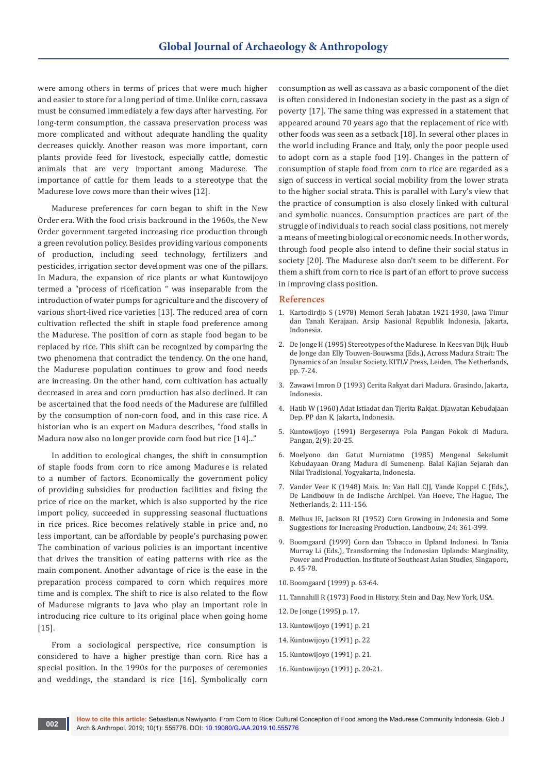were among others in terms of prices that were much higher and easier to store for a long period of time. Unlike corn, cassava must be consumed immediately a few days after harvesting. For long-term consumption, the cassava preservation process was more complicated and without adequate handling the quality decreases quickly. Another reason was more important, corn plants provide feed for livestock, especially cattle, domestic animals that are very important among Madurese. The importance of cattle for them leads to a stereotype that the Madurese love cows more than their wives [12].

Madurese preferences for corn began to shift in the New Order era. With the food crisis backround in the 1960s, the New Order government targeted increasing rice production through a green revolution policy. Besides providing various components of production, including seed technology, fertilizers and pesticides, irrigation sector development was one of the pillars. In Madura, the expansion of rice plants or what Kuntowijoyo termed a "process of ricefication " was inseparable from the introduction of water pumps for agriculture and the discovery of various short-lived rice varieties [13]. The reduced area of corn cultivation reflected the shift in staple food preference among the Madurese. The position of corn as staple food began to be replaced by rice. This shift can be recognized by comparing the two phenomena that contradict the tendency. On the one hand, the Madurese population continues to grow and food needs are increasing. On the other hand, corn cultivation has actually decreased in area and corn production has also declined. It can be ascertained that the food needs of the Madurese are fulfilled by the consumption of non-corn food, and in this case rice. A historian who is an expert on Madura describes, "food stalls in Madura now also no longer provide corn food but rice [14]..."

In addition to ecological changes, the shift in consumption of staple foods from corn to rice among Madurese is related to a number of factors. Economically the government policy of providing subsidies for production facilities and fixing the price of rice on the market, which is also supported by the rice import policy, succeeded in suppressing seasonal fluctuations in rice prices. Rice becomes relatively stable in price and, no less important, can be affordable by people's purchasing power. The combination of various policies is an important incentive that drives the transition of eating patterns with rice as the main component. Another advantage of rice is the ease in the preparation process compared to corn which requires more time and is complex. The shift to rice is also related to the flow of Madurese migrants to Java who play an important role in introducing rice culture to its original place when going home [15].

From a sociological perspective, rice consumption is considered to have a higher prestige than corn. Rice has a special position. In the 1990s for the purposes of ceremonies and weddings, the standard is rice [16]. Symbolically corn consumption as well as cassava as a basic component of the diet is often considered in Indonesian society in the past as a sign of poverty [17]. The same thing was expressed in a statement that appeared around 70 years ago that the replacement of rice with other foods was seen as a setback [18]. In several other places in the world including France and Italy, only the poor people used to adopt corn as a staple food [19]. Changes in the pattern of consumption of staple food from corn to rice are regarded as a sign of success in vertical social mobility from the lower strata to the higher social strata. This is parallel with Lury's view that the practice of consumption is also closely linked with cultural and symbolic nuances. Consumption practices are part of the struggle of individuals to reach social class positions, not merely a means of meeting biological or economic needs. In other words, through food people also intend to define their social status in society [20]. The Madurese also don't seem to be different. For them a shift from corn to rice is part of an effort to prove success in improving class position.

### **References**

- 1. Kartodirdjo S (1978) Memori Serah Jabatan 1921-1930, Jawa Timur dan Tanah Kerajaan. Arsip Nasional Republik Indonesia, Jakarta, Indonesia.
- 2. De Jonge H (1995) Stereotypes of the Madurese. In Kees van Dijk, Huub de Jonge dan Elly Touwen-Bouwsma (Eds.), Across Madura Strait: The Dynamics of an Insular Society. KITLV Press, Leiden, The Netherlands, pp. 7-24.
- 3. Zawawi Imron D (1993) Cerita Rakyat dari Madura. Grasindo, Jakarta, Indonesia.
- 4. Hatib W (1960) Adat Istiadat dan Tjerita Rakjat. Djawatan Kebudajaan Dep. PP dan K, Jakarta, Indonesia.
- 5. Kuntowijoyo (1991) Bergesernya Pola Pangan Pokok di Madura. Pangan, 2(9): 20-25.
- 6. Moelyono dan Gatut Murniatmo (1985) Mengenal Sekelumit Kebudayaan Orang Madura di Sumenenp. Balai Kajian Sejarah dan Nilai Tradisional, Yogyakarta, Indonesia.
- 7. Vander Veer K (1948) Mais. In: Van Hall CJJ, Vande Koppel C (Eds.), De Landbouw in de Indische Archipel. Van Hoeve, The Hague, The Netherlands, 2: 111-156.
- 8. Melhus IE, Jackson RI (1952) Corn Growing in Indonesia and Some Suggestions for Increasing Production. Landbouw, 24: 361-399.
- 9. Boomgaard (1999) Corn dan Tobacco in Upland Indonesi. In Tania Murray Li (Eds.), Transforming the Indonesian Uplands: Marginality, Power and Production. Institute of Southeast Asian Studies, Singapore, p. 45-78.
- 10. Boomgaard (1999) p. 63-64.
- 11. Tannahill R (1973) Food in History. Stein and Day, New York, USA.
- 12. De Jonge (1995) p. 17.
- 13. Kuntowijoyo (1991) p. 21
- 14. Kuntowijoyo (1991) p. 22
- 15. Kuntowijoyo (1991) p. 21.
- 16. Kuntowijoyo (1991) p. 20-21.